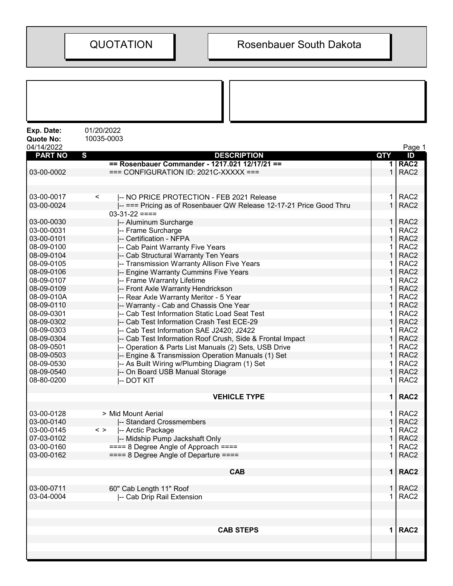| Exp. Date:<br><b>Quote No:</b><br>04/14/2022 | 01/20/2022<br>10035-0003                                            |              | Page 1           |
|----------------------------------------------|---------------------------------------------------------------------|--------------|------------------|
| <b>PART NO</b>                               | $\mathbf{s}$<br><b>DESCRIPTION</b>                                  | QTY          | ID               |
|                                              | == Rosenbauer Commander - 1217.021 12/17/21 ==                      |              | 1 RAC2           |
| 03-00-0002                                   | $==$ CONFIGURATION ID: 2021C-XXXXX $==$                             | $\mathbf{1}$ | RAC <sub>2</sub> |
|                                              |                                                                     |              |                  |
| 03-00-0017                                   | -- NO PRICE PROTECTION - FEB 2021 Release<br>$\,<\,$                | $\mathbf 1$  | RAC <sub>2</sub> |
| 03-00-0024                                   | -- === Pricing as of Rosenbauer QW Release 12-17-21 Price Good Thru | $\mathbf{1}$ | RAC <sub>2</sub> |
|                                              | $03-31-22 ==$                                                       |              |                  |
| 03-00-0030                                   | -- Aluminum Surcharge                                               | 1            | RAC <sub>2</sub> |
| 03-00-0031                                   | -- Frame Surcharge                                                  | $\mathbf{1}$ | RAC <sub>2</sub> |
| 03-00-0101                                   | -- Certification - NFPA                                             | $\mathbf{1}$ | RAC <sub>2</sub> |
| 08-09-0100                                   | -- Cab Paint Warranty Five Years                                    | 1            | RAC <sub>2</sub> |
| 08-09-0104                                   | -- Cab Structural Warranty Ten Years                                | 1            | RAC <sub>2</sub> |
| 08-09-0105                                   | -- Transmission Warranty Allison Five Years                         | 1            | RAC <sub>2</sub> |
| 08-09-0106                                   | -- Engine Warranty Cummins Five Years                               | $\mathbf{1}$ | RAC <sub>2</sub> |
| 08-09-0107                                   | -- Frame Warranty Lifetime                                          | 1            | RAC <sub>2</sub> |
| 08-09-0109                                   | -- Front Axle Warranty Hendrickson                                  | $\mathbf{1}$ | RAC <sub>2</sub> |
| 08-09-010A                                   | -- Rear Axle Warranty Meritor - 5 Year                              | 1            | RAC <sub>2</sub> |
| 08-09-0110                                   | -- Warranty - Cab and Chassis One Year                              | 1            | RAC <sub>2</sub> |
| 08-09-0301                                   | -- Cab Test Information Static Load Seat Test                       | 1            | RAC <sub>2</sub> |
| 08-09-0302                                   | -- Cab Test Information Crash Test ECE-29                           | 1            | RAC <sub>2</sub> |
| 08-09-0303                                   | -- Cab Test Information SAE J2420; J2422                            | 1            | RAC <sub>2</sub> |
| 08-09-0304                                   | -- Cab Test Information Roof Crush, Side & Frontal Impact           | $\mathbf{1}$ | RAC <sub>2</sub> |
| 08-09-0501                                   | -- Operation & Parts List Manuals (2) Sets, USB Drive               | 1            | RAC <sub>2</sub> |
| 08-09-0503                                   | -- Engine & Transmission Operation Manuals (1) Set                  | $\mathbf{1}$ | RAC <sub>2</sub> |
| 08-09-0530                                   | -- As Built Wiring w/Plumbing Diagram (1) Set                       | 1            | RAC <sub>2</sub> |
| 08-09-0540                                   | -- On Board USB Manual Storage                                      | 1            | RAC <sub>2</sub> |
| 08-80-0200                                   | -- DOT KIT                                                          | 1.           | RAC <sub>2</sub> |
|                                              |                                                                     |              |                  |
|                                              | <b>VEHICLE TYPE</b>                                                 | $\mathbf{1}$ | RAC <sub>2</sub> |
| 03-00-0128                                   | > Mid Mount Aerial                                                  |              | $1$ RAC2         |
| 03-00-0140                                   | -- Standard Crossmembers                                            | 1            | RAC <sub>2</sub> |
| 03-00-0145                                   | $\langle$ ><br>-- Arctic Package                                    | 1.           | RAC <sub>2</sub> |
| 07-03-0102                                   | -- Midship Pump Jackshaft Only                                      | 1            | RAC <sub>2</sub> |
| 03-00-0160                                   | $=== 8$ Degree Angle of Approach $===$                              | 1.           | RAC <sub>2</sub> |
| 03-00-0162                                   | $== = 8$ Degree Angle of Departure $== =$                           | 1            | RAC <sub>2</sub> |
|                                              | <b>CAB</b>                                                          |              | 1   RAC2         |
| 03-00-0711                                   | 60" Cab Length 11" Roof                                             |              | $1$ RAC2         |
| 03-04-0004                                   | -- Cab Drip Rail Extension                                          | $\mathbf{1}$ | RAC <sub>2</sub> |
|                                              |                                                                     |              |                  |
|                                              |                                                                     |              |                  |
|                                              | <b>CAB STEPS</b>                                                    |              | 1   RAC2         |
|                                              |                                                                     |              |                  |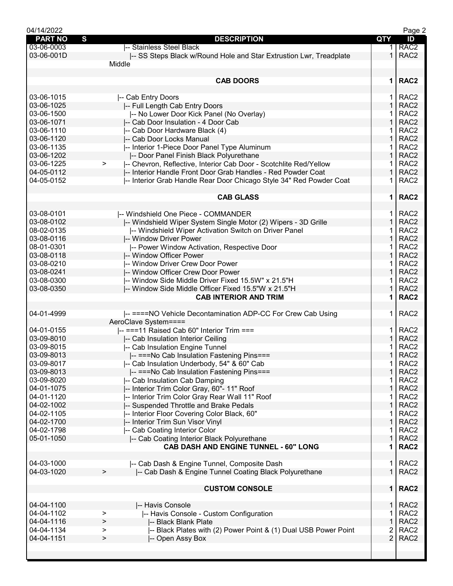| 04/14/2022     |                                                                        |                | Page 2           |
|----------------|------------------------------------------------------------------------|----------------|------------------|
| <b>PART NO</b> | S<br><b>DESCRIPTION</b>                                                | QTY            | ID               |
| 03-06-0003     | -- Stainless Steel Black                                               | 1.             | RAC <sub>2</sub> |
| 03-06-001D     | -- SS Steps Black w/Round Hole and Star Extrustion Lwr, Treadplate     | $\mathbf 1$    | RAC <sub>2</sub> |
|                | Middle                                                                 |                |                  |
|                |                                                                        |                |                  |
|                | <b>CAB DOORS</b>                                                       | $\mathbf 1$    | RAC <sub>2</sub> |
|                |                                                                        |                |                  |
| 03-06-1015     | -- Cab Entry Doors                                                     | 1.             | RAC <sub>2</sub> |
| 03-06-1025     | -- Full Length Cab Entry Doors                                         | $\mathbf{1}$   | RAC <sub>2</sub> |
|                |                                                                        |                |                  |
| 03-06-1500     | -- No Lower Door Kick Panel (No Overlay)                               | 1              | RAC <sub>2</sub> |
| 03-06-1071     | -- Cab Door Insulation - 4 Door Cab                                    | 1              | RAC <sub>2</sub> |
| 03-06-1110     | -- Cab Door Hardware Black (4)                                         |                | RAC <sub>2</sub> |
| 03-06-1120     | -- Cab Door Locks Manual                                               | 1              | RAC <sub>2</sub> |
| 03-06-1135     | -- Interior 1-Piece Door Panel Type Aluminum                           | 1              | RAC <sub>2</sub> |
| 03-06-1202     | -- Door Panel Finish Black Polyurethane                                | $\mathbf 1$    | RAC <sub>2</sub> |
| 03-06-1225     | -- Chevron, Reflective, Interior Cab Door - Scotchlite Red/Yellow<br>> | 1              | RAC <sub>2</sub> |
| 04-05-0112     | I-- Interior Handle Front Door Grab Handles - Red Powder Coat          | $\mathbf{1}$   | RAC <sub>2</sub> |
| 04-05-0152     | -- Interior Grab Handle Rear Door Chicago Style 34" Red Powder Coat    | 1              | RAC <sub>2</sub> |
|                |                                                                        |                |                  |
|                | <b>CAB GLASS</b>                                                       | $\mathbf 1$    | RAC <sub>2</sub> |
|                |                                                                        |                |                  |
|                |                                                                        |                |                  |
| 03-08-0101     | -- Windshield One Piece - COMMANDER                                    | 1.             | RAC <sub>2</sub> |
| 03-08-0102     | -- Windshield Wiper System Single Motor (2) Wipers - 3D Grille         | $\mathbf{1}$   | RAC <sub>2</sub> |
| 08-02-0135     | -- Windshield Wiper Activation Switch on Driver Panel                  | 1              | RAC <sub>2</sub> |
| 03-08-0116     | -- Window Driver Power                                                 | $\mathbf{1}$   | RAC <sub>2</sub> |
| 08-01-0301     | -- Power Window Activation, Respective Door                            | 1              | RAC <sub>2</sub> |
| 03-08-0118     | -- Window Officer Power                                                | 1              | RAC <sub>2</sub> |
| 03-08-0210     | -- Window Driver Crew Door Power                                       | 1              | RAC <sub>2</sub> |
| 03-08-0241     | -- Window Officer Crew Door Power                                      | $\mathbf{1}$   | RAC <sub>2</sub> |
| 03-08-0300     | -- Window Side Middle Driver Fixed 15.5W" x 21.5"H                     | 1              | RAC <sub>2</sub> |
| 03-08-0350     |                                                                        | $\mathbf 1$    | RAC <sub>2</sub> |
|                | -- Window Side Middle Officer Fixed 15.5"W x 21.5"H                    |                |                  |
|                | <b>CAB INTERIOR AND TRIM</b>                                           | 1              | RAC <sub>2</sub> |
|                |                                                                        |                |                  |
| 04-01-4999     | -- ====NO Vehicle Decontamination ADP-CC For Crew Cab Using            | 1.             | RAC <sub>2</sub> |
|                | AeroClave System====                                                   |                |                  |
| 04-01-0155     | -- ===11 Raised Cab 60" Interior Trim ===                              | 1.             | RAC <sub>2</sub> |
| 03-09-8010     | -- Cab Insulation Interior Ceiling                                     | $\mathbf{1}$   | RAC <sub>2</sub> |
| 03-09-8015     | -- Cab Insulation Engine Tunnel                                        | 1              | RAC <sub>2</sub> |
| 03-09-8013     | -- ===No Cab Insulation Fastening Pins===                              | $\mathbf 1$    | RAC <sub>2</sub> |
| 03-09-8017     | -- Cab Insulation Underbody, 54" & 60" Cab                             | 1.             | RAC <sub>2</sub> |
| 03-09-8013     | -- === No Cab Insulation Fastening Pins===                             | $\mathbf{1}$   | RAC <sub>2</sub> |
| 03-09-8020     | -- Cab Insulation Cab Damping                                          | 1              | RAC <sub>2</sub> |
| 04-01-1075     | -- Interior Trim Color Gray, 60"- 11" Roof                             | 1              | RAC <sub>2</sub> |
| 04-01-1120     | -- Interior Trim Color Gray Rear Wall 11" Roof                         |                | RAC <sub>2</sub> |
|                |                                                                        | 1              |                  |
| 04-02-1002     | -- Suspended Throttle and Brake Pedals                                 |                | RAC <sub>2</sub> |
| 04-02-1105     | -- Interior Floor Covering Color Black, 60"                            | 1              | RAC <sub>2</sub> |
| 04-02-1700     | -- Interior Trim Sun Visor Vinyl                                       | $\mathbf{1}$   | RAC <sub>2</sub> |
| 04-02-1798     | -- Cab Coating Interior Color                                          | 1              | RAC <sub>2</sub> |
| 05-01-1050     | -- Cab Coating Interior Black Polyurethane                             | $\mathbf{1}$   | RAC <sub>2</sub> |
|                | CAB DASH AND ENGINE TUNNEL - 60" LONG                                  | 1              | RAC <sub>2</sub> |
|                |                                                                        |                |                  |
| 04-03-1000     | -- Cab Dash & Engine Tunnel, Composite Dash                            | 1.             | RAC <sub>2</sub> |
| 04-03-1020     | -- Cab Dash & Engine Tunnel Coating Black Polyurethane<br>>            | $\mathbf{1}$   | RAC <sub>2</sub> |
|                |                                                                        |                |                  |
|                | <b>CUSTOM CONSOLE</b>                                                  |                | 1   RAC2         |
|                |                                                                        |                |                  |
| 04-04-1100     | -- Havis Console                                                       | 1.             | RAC <sub>2</sub> |
|                |                                                                        |                |                  |
| 04-04-1102     | -- Havis Console - Custom Configuration<br>>                           | 1              | RAC <sub>2</sub> |
| 04-04-1116     | -- Black Blank Plate<br>>                                              | 1              | RAC <sub>2</sub> |
| 04-04-1134     | -- Black Plates with (2) Power Point & (1) Dual USB Power Point<br>>   | 2              | RAC <sub>2</sub> |
| 04-04-1151     | -- Open Assy Box<br>>                                                  | $\overline{2}$ | RAC <sub>2</sub> |
|                |                                                                        |                |                  |
|                |                                                                        |                |                  |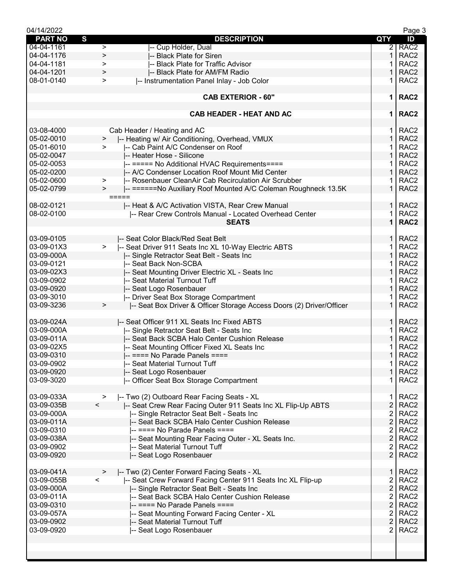| 04/14/2022     |                          |                                                                      |                | Page 3           |
|----------------|--------------------------|----------------------------------------------------------------------|----------------|------------------|
| <b>PART NO</b> | S                        | <b>DESCRIPTION</b>                                                   | <b>QTY</b>     | ID               |
| 04-04-1161     | $\, > \,$                | -- Cup Holder, Dual                                                  | $\overline{2}$ | RAC <sub>2</sub> |
| 04-04-1176     | $\geq$                   | -- Black Plate for Siren                                             | 1              | RAC <sub>2</sub> |
| 04-04-1181     | $\geq$                   | -- Black Plate for Traffic Advisor                                   | 1              | RAC <sub>2</sub> |
| 04-04-1201     | >                        | -- Black Plate for AM/FM Radio                                       | 1              | RAC <sub>2</sub> |
| 08-01-0140     |                          | -- Instrumentation Panel Inlay - Job Color                           | 1              | RAC <sub>2</sub> |
|                | >                        |                                                                      |                |                  |
|                |                          |                                                                      |                |                  |
|                |                          | <b>CAB EXTERIOR - 60"</b>                                            | $\mathbf 1$    | RAC <sub>2</sub> |
|                |                          |                                                                      |                |                  |
|                |                          | <b>CAB HEADER - HEAT AND AC</b>                                      | 1              | RAC <sub>2</sub> |
|                |                          |                                                                      |                |                  |
| 03-08-4000     |                          | Cab Header / Heating and AC                                          | 1.             | RAC <sub>2</sub> |
| 05-02-0010     | >                        | -- Heating w/ Air Conditioning, Overhead, VMUX                       | $\mathbf{1}$   | RAC <sub>2</sub> |
| 05-01-6010     | ➤                        | -- Cab Paint A/C Condenser on Roof                                   | 1              | RAC <sub>2</sub> |
| 05-02-0047     |                          | -- Heater Hose - Silicone                                            | 1              | RAC <sub>2</sub> |
| 05-02-0053     |                          |                                                                      | 1.             | RAC <sub>2</sub> |
|                |                          | -- ===== No Additional HVAC Requirements====                         |                |                  |
| 05-02-0200     |                          | -- A/C Condenser Location Roof Mount Mid Center                      | $\mathbf{1}$   | RAC <sub>2</sub> |
| 05-02-0600     | >                        | -- Rosenbauer CleanAir Cab Recirculation Air Scrubber                | 1              | RAC <sub>2</sub> |
| 05-02-0799     | $\geq$                   | -- ======No Auxiliary Roof Mounted A/C Coleman Roughneck 13.5K       | $\mathbf 1$    | RAC <sub>2</sub> |
|                |                          | $=====$                                                              |                |                  |
| 08-02-0121     |                          | -- Heat & A/C Activation VISTA, Rear Crew Manual                     | 1 <sup>1</sup> | RAC <sub>2</sub> |
| 08-02-0100     |                          | -- Rear Crew Controls Manual - Located Overhead Center               | 1              | RAC <sub>2</sub> |
|                |                          | <b>SEATS</b>                                                         | $\mathbf{1}$   | RAC <sub>2</sub> |
|                |                          |                                                                      |                |                  |
| 03-09-0105     |                          | I-- Seat Color Black/Red Seat Belt                                   | $\mathbf{1}$   | RAC <sub>2</sub> |
| 03-09-01X3     | $\geq$                   | -- Seat Driver 911 Seats Inc XL 10-Way Electric ABTS                 | 1              | RAC <sub>2</sub> |
| 03-09-000A     |                          |                                                                      | 1              | RAC <sub>2</sub> |
|                |                          | -- Single Retractor Seat Belt - Seats Inc                            |                |                  |
| 03-09-0121     |                          | -- Seat Back Non-SCBA                                                | 1              | RAC <sub>2</sub> |
| 03-09-02X3     |                          | -- Seat Mounting Driver Electric XL - Seats Inc                      | 1              | RAC <sub>2</sub> |
| 03-09-0902     |                          | -- Seat Material Turnout Tuff                                        | 1              | RAC <sub>2</sub> |
| 03-09-0920     |                          | -- Seat Logo Rosenbauer                                              | $\mathbf{1}$   | RAC <sub>2</sub> |
| 03-09-3010     |                          | -- Driver Seat Box Storage Compartment                               | 1.             | RAC <sub>2</sub> |
| 03-09-3236     | $\,>$                    | -- Seat Box Driver & Officer Storage Access Doors (2) Driver/Officer | $\mathbf{1}$   | RAC <sub>2</sub> |
|                |                          |                                                                      |                |                  |
| 03-09-024A     |                          | -- Seat Officer 911 XL Seats Inc Fixed ABTS                          | $\mathbf{1}$   | RAC <sub>2</sub> |
| 03-09-000A     |                          | -- Single Retractor Seat Belt - Seats Inc                            | 1              | RAC <sub>2</sub> |
| 03-09-011A     |                          | -- Seat Back SCBA Halo Center Cushion Release                        | 1              | RAC <sub>2</sub> |
| 03-09-02X5     |                          | -- Seat Mounting Officer Fixed XL Seats Inc                          | 1              | RAC <sub>2</sub> |
| 03-09-0310     |                          | $-$ ==== No Parade Panels ====                                       | $\mathbf{1}$   | RAC <sub>2</sub> |
|                |                          |                                                                      |                |                  |
| 03-09-0902     |                          | -- Seat Material Turnout Tuff                                        | $\mathbf{1}$   | RAC <sub>2</sub> |
| 03-09-0920     |                          | -- Seat Logo Rosenbauer                                              | $\mathbf{1}$   | RAC <sub>2</sub> |
| 03-09-3020     |                          | -- Officer Seat Box Storage Compartment                              | 1.             | RAC <sub>2</sub> |
|                |                          |                                                                      |                |                  |
| 03-09-033A     | >                        | -- Two (2) Outboard Rear Facing Seats - XL                           | 1              | RAC <sub>2</sub> |
| 03-09-035B     | $\lt$                    | -- Seat Crew Rear Facing Outer 911 Seats Inc XL Flip-Up ABTS         | $\overline{2}$ | RAC <sub>2</sub> |
| 03-09-000A     |                          | -- Single Retractor Seat Belt - Seats Inc                            | 2              | RAC <sub>2</sub> |
| 03-09-011A     |                          | -- Seat Back SCBA Halo Center Cushion Release                        | $\overline{2}$ | RAC <sub>2</sub> |
| 03-09-0310     |                          | $-$ ==== No Parade Panels ====                                       | $\overline{2}$ | RAC <sub>2</sub> |
| 03-09-038A     |                          | -- Seat Mounting Rear Facing Outer - XL Seats Inc.                   | $\overline{2}$ | RAC <sub>2</sub> |
| 03-09-0902     |                          | -- Seat Material Turnout Tuff                                        | 2              | RAC <sub>2</sub> |
| 03-09-0920     |                          | -- Seat Logo Rosenbauer                                              | $\overline{2}$ | RAC <sub>2</sub> |
|                |                          |                                                                      |                |                  |
|                |                          |                                                                      |                |                  |
| 03-09-041A     | >                        | -- Two (2) Center Forward Facing Seats - XL                          | 1              | RAC <sub>2</sub> |
| 03-09-055B     | $\overline{\phantom{0}}$ | -- Seat Crew Forward Facing Center 911 Seats Inc XL Flip-up          | 2              | RAC <sub>2</sub> |
| 03-09-000A     |                          | -- Single Retractor Seat Belt - Seats Inc                            | $\overline{2}$ | RAC <sub>2</sub> |
| 03-09-011A     |                          | -- Seat Back SCBA Halo Center Cushion Release                        | $\overline{2}$ | RAC <sub>2</sub> |
| 03-09-0310     |                          | -- ==== No Parade Panels ====                                        | $\overline{2}$ | RAC <sub>2</sub> |
| 03-09-057A     |                          | -- Seat Mounting Forward Facing Center - XL                          | 2              | RAC <sub>2</sub> |
| 03-09-0902     |                          | -- Seat Material Turnout Tuff                                        | $\overline{2}$ | RAC <sub>2</sub> |
| 03-09-0920     |                          | -- Seat Logo Rosenbauer                                              | $\overline{2}$ | RAC <sub>2</sub> |
|                |                          |                                                                      |                |                  |
|                |                          |                                                                      |                |                  |
|                |                          |                                                                      |                |                  |
|                |                          |                                                                      |                |                  |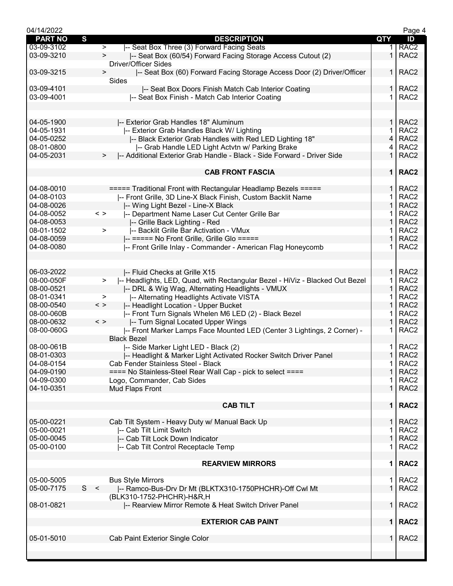| 04/14/2022               |   |               |                                                                                               |                | Page 4                               |
|--------------------------|---|---------------|-----------------------------------------------------------------------------------------------|----------------|--------------------------------------|
| <b>PART NO</b>           | S |               | <b>DESCRIPTION</b>                                                                            | QTY            | ID                                   |
| 03-09-3102               |   | $\,>$         | -- Seat Box Three (3) Forward Facing Seats                                                    |                | RAC <sub>2</sub>                     |
| 03-09-3210               |   | $\,>\,$       | -- Seat Box (60/54) Forward Facing Storage Access Cutout (2)<br>Driver/Officer Sides          | $\mathbf 1$    | RAC <sub>2</sub>                     |
| 03-09-3215               |   | >             | -- Seat Box (60) Forward Facing Storage Access Door (2) Driver/Officer<br>Sides               | 1 I            | RAC <sub>2</sub>                     |
| 03-09-4101               |   |               | -- Seat Box Doors Finish Match Cab Interior Coating                                           | $\mathbf{1}$   | RAC <sub>2</sub>                     |
| 03-09-4001               |   |               | -- Seat Box Finish - Match Cab Interior Coating                                               |                | RAC <sub>2</sub>                     |
|                          |   |               |                                                                                               |                |                                      |
| 04-05-1900               |   |               | -- Exterior Grab Handles 18" Aluminum                                                         | $\mathbf{1}$   | RAC <sub>2</sub>                     |
| 04-05-1931               |   |               | -- Exterior Grab Handles Black W/ Lighting                                                    | 1              | RAC <sub>2</sub>                     |
| 04-05-0252               |   |               | I-- Black Exterior Grab Handles with Red LED Lighting 18"                                     | 4              | RAC <sub>2</sub>                     |
| 08-01-0800               |   |               | -- Grab Handle LED Light Actvtn w/ Parking Brake                                              | 4              | RAC <sub>2</sub>                     |
| 04-05-2031               |   | >             | -- Additional Exterior Grab Handle - Black - Side Forward - Driver Side                       | $\mathbf 1$    | RAC <sub>2</sub>                     |
|                          |   |               | <b>CAB FRONT FASCIA</b>                                                                       |                | 1   RAC2                             |
| 04-08-0010               |   |               | ===== Traditional Front with Rectangular Headlamp Bezels =====                                | $\mathbf{1}$   | RAC <sub>2</sub>                     |
| 04-08-0103               |   |               | -- Front Grille, 3D Line-X Black Finish, Custom Backlit Name                                  |                | RAC <sub>2</sub>                     |
| 04-08-0026               |   |               | -- Wing Light Bezel - Line-X Black                                                            | 1              | RAC <sub>2</sub>                     |
| 04-08-0052               |   | $\langle$ >   | -- Department Name Laser Cut Center Grille Bar                                                |                | RAC <sub>2</sub>                     |
| 04-08-0053               |   |               | -- Grille Back Lighting - Red                                                                 | 1              | RAC <sub>2</sub>                     |
| 08-01-1502               |   | >             | -- Backlit Grille Bar Activation - VMux                                                       | 1              | RAC <sub>2</sub>                     |
| 04-08-0059               |   |               | -- ===== No Front Grille, Grille Glo =====                                                    | 1              | RAC <sub>2</sub>                     |
| 04-08-0080               |   |               | -- Front Grille Inlay - Commander - American Flag Honeycomb                                   | 1.             | RAC <sub>2</sub>                     |
|                          |   |               |                                                                                               |                |                                      |
| 06-03-2022               |   |               | -- Fluid Checks at Grille X15                                                                 | 1.             | RAC <sub>2</sub>                     |
| 08-00-050F               |   | $\geq$        | I-- Headlights, LED, Quad, with Rectangular Bezel - HiViz - Blacked Out Bezel                 | 1<br>1         | RAC <sub>2</sub><br>RAC <sub>2</sub> |
| 08-00-0521<br>08-01-0341 |   | >             | -- DRL & Wig Wag, Alternating Headlights - VMUX<br>-- Alternating Headlights Activate VISTA   | 1              | RAC <sub>2</sub>                     |
| 08-00-0540               |   | $\langle$ $>$ | -- Headlight Location - Upper Bucket                                                          | 1              | RAC <sub>2</sub>                     |
| 08-00-060B               |   |               | -- Front Turn Signals Whelen M6 LED (2) - Black Bezel                                         |                | RAC <sub>2</sub>                     |
| 08-00-0632               |   | $\langle$ >   | -- Turn Signal Located Upper Wings                                                            | $\mathbf{1}$   | RAC <sub>2</sub>                     |
| 08-00-060G               |   |               | -- Front Marker Lamps Face Mounted LED (Center 3 Lightings, 2 Corner) -<br><b>Black Bezel</b> |                | RAC <sub>2</sub>                     |
| 08-00-061B               |   |               | -- Side Marker Light LED - Black (2)                                                          | 1.             | RAC <sub>2</sub>                     |
| 08-01-0303               |   |               | -- Headlight & Marker Light Activated Rocker Switch Driver Panel                              | $\mathbf{1}$   | RAC <sub>2</sub>                     |
| 04-08-0154               |   |               | Cab Fender Stainless Steel - Black                                                            | 1              | RAC <sub>2</sub>                     |
| 04-09-0190               |   |               | ==== No Stainless-Steel Rear Wall Cap - pick to select ====                                   | 1              | RAC <sub>2</sub>                     |
| 04-09-0300               |   |               | Logo, Commander, Cab Sides                                                                    | 1              | RAC <sub>2</sub>                     |
| 04-10-0351               |   |               | Mud Flaps Front                                                                               | $\mathbf{1}$   | RAC <sub>2</sub>                     |
|                          |   |               | <b>CAB TILT</b>                                                                               | 1 <sup>1</sup> | RAC <sub>2</sub>                     |
| 05-00-0221               |   |               | Cab Tilt System - Heavy Duty w/ Manual Back Up                                                | 1.             | RAC <sub>2</sub>                     |
| 05-00-0021               |   |               | -- Cab Tilt Limit Switch                                                                      | 1              | RAC <sub>2</sub>                     |
| 05-00-0045               |   |               | -- Cab Tilt Lock Down Indicator                                                               | $\mathbf{1}$   | RAC <sub>2</sub>                     |
| 05-00-0100               |   |               | -- Cab Tilt Control Receptacle Temp                                                           | 1              | RAC <sub>2</sub>                     |
|                          |   |               | <b>REARVIEW MIRRORS</b>                                                                       | 1              | RAC <sub>2</sub>                     |
| 05-00-5005               |   |               | <b>Bus Style Mirrors</b>                                                                      |                | RAC <sub>2</sub>                     |
| 05-00-7175               |   | S <           | -- Ramco-Bus-Drv Dr Mt (BLKTX310-1750PHCHR)-Off Cwl Mt                                        | 1.<br>1        | RAC <sub>2</sub>                     |
|                          |   |               | (BLK310-1752-PHCHR)-H&R,H                                                                     |                |                                      |
| 08-01-0821               |   |               | -- Rearview Mirror Remote & Heat Switch Driver Panel                                          | $\mathbf{1}$   | RAC <sub>2</sub>                     |
|                          |   |               | <b>EXTERIOR CAB PAINT</b>                                                                     |                | $1$ RAC2                             |
| 05-01-5010               |   |               | Cab Paint Exterior Single Color                                                               | $\mathbf{1}$   | RAC <sub>2</sub>                     |
|                          |   |               |                                                                                               |                |                                      |
|                          |   |               |                                                                                               |                |                                      |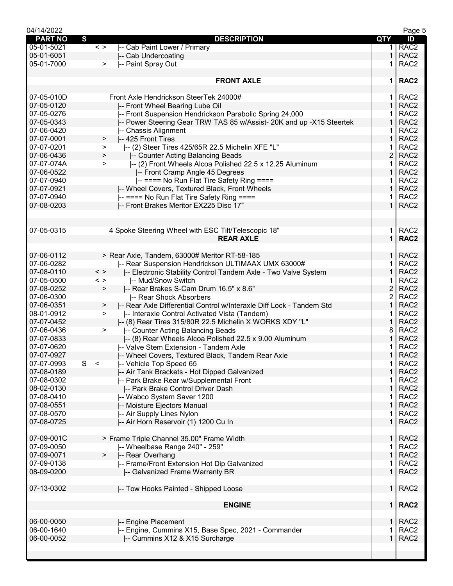| 04/14/2022     |                                                                           |                | Page 5           |
|----------------|---------------------------------------------------------------------------|----------------|------------------|
| <b>PART NO</b> | S<br><b>DESCRIPTION</b>                                                   | QTY            | ID               |
| 05-01-5021     | -- Cab Paint Lower / Primary<br>$\langle$ >                               | 1.             | RAC <sub>2</sub> |
| 05-01-6051     | -- Cab Undercoating                                                       | 1              | RAC <sub>2</sub> |
| 05-01-7000     | -- Paint Spray Out<br>$\geq$                                              | 1              | RAC <sub>2</sub> |
|                |                                                                           |                |                  |
|                | <b>FRONT AXLE</b>                                                         | $\mathbf 1$    | RAC <sub>2</sub> |
|                |                                                                           |                |                  |
| 07-05-010D     | Front Axle Hendrickson SteerTek 24000#                                    | 1.             | RAC <sub>2</sub> |
| 07-05-0120     | -- Front Wheel Bearing Lube Oil                                           | 1              | RAC <sub>2</sub> |
| 07-05-0276     | -- Front Suspension Hendrickson Parabolic Spring 24,000                   |                | RAC <sub>2</sub> |
| 07-05-0343     |                                                                           | 1              | RAC <sub>2</sub> |
| 07-06-0420     | -- Power Steering Gear TRW TAS 85 w/Assist- 20K and up -X15 Steertek      |                |                  |
|                | -- Chassis Alignment                                                      | 1              | RAC <sub>2</sub> |
| 07-07-0001     | -- 425 Front Tires<br>$\geq$                                              | 1              | RAC <sub>2</sub> |
| 07-07-0201     | -- (2) Steer Tires 425/65R 22.5 Michelin XFE "L"<br>>                     | 1              | RAC <sub>2</sub> |
| 07-06-0436     | -- Counter Acting Balancing Beads<br>$\,>\,$                              | $\overline{2}$ | RAC <sub>2</sub> |
| 07-07-074A     | -- (2) Front Wheels Alcoa Polished 22.5 x 12.25 Aluminum<br>>             | 1              | RAC <sub>2</sub> |
| 07-06-0522     | -- Front Cramp Angle 45 Degrees                                           | 1              | RAC <sub>2</sub> |
| 07-07-0940     | -- ==== No Run Flat Tire Safety Ring ====                                 | 1              | RAC <sub>2</sub> |
| 07-07-0921     | -- Wheel Covers, Textured Black, Front Wheels                             | 1              | RAC <sub>2</sub> |
| 07-07-0940     | -- ==== No Run Flat Tire Safety Ring ====                                 | 1              | RAC <sub>2</sub> |
| 07-08-0203     | -- Front Brakes Meritor EX225 Disc 17"                                    | 1              | RAC <sub>2</sub> |
|                |                                                                           |                |                  |
|                |                                                                           |                |                  |
| 07-05-0315     | 4 Spoke Steering Wheel with ESC Tilt/Telescopic 18"                       | 1.             | RAC <sub>2</sub> |
|                | <b>REAR AXLE</b>                                                          | $\mathbf{1}$   | RAC <sub>2</sub> |
|                |                                                                           |                |                  |
| 07-06-0112     | > Rear Axle, Tandem, 63000# Meritor RT-58-185                             | 1.             | RAC <sub>2</sub> |
| 07-06-0282     | -- Rear Suspension Hendrickson ULTIMAAX UMX 63000#                        | 1              | RAC <sub>2</sub> |
| 07-08-0110     | $\langle$ >                                                               | 1              | RAC <sub>2</sub> |
|                | -- Electronic Stability Control Tandem Axle - Two Valve System            |                |                  |
| 07-05-0500     | -- Mud/Snow Switch<br>$\langle$ $>$                                       | 1              | RAC <sub>2</sub> |
| 07-08-0252     | -- Rear Brakes S-Cam Drum 16.5" x 8.6"<br>$\, > \,$                       | $\overline{2}$ | RAC <sub>2</sub> |
| 07-06-0300     | -- Rear Shock Absorbers                                                   | $\overline{c}$ | RAC <sub>2</sub> |
| 07-06-0351     | -- Rear Axle Differential Control w/Interaxle Diff Lock - Tandem Std<br>> | 1              | RAC <sub>2</sub> |
| 08-01-0912     | -- Interaxle Control Activated Vista (Tandem)<br>$\geq$                   |                | RAC <sub>2</sub> |
| 07-07-0452     | I-- (8) Rear Tires 315/80R 22.5 Michelin X WORKS XDY "L"                  | 1              | RAC <sub>2</sub> |
| 07-06-0436     | -- Counter Acting Balancing Beads<br>$\geq$                               | 8              | RAC <sub>2</sub> |
| 07-07-0833     | -- (8) Rear Wheels Alcoa Polished 22.5 x 9.00 Aluminum                    | 1              | RAC <sub>2</sub> |
| 07-07-0620     | -- Valve Stem Extension - Tandem Axle                                     |                | RAC <sub>2</sub> |
| 07-07-0927     | -- Wheel Covers, Textured Black, Tandem Rear Axle                         | 1.             | RAC <sub>2</sub> |
| 07-07-0993     | -- Vehicle Top Speed 65<br>S<br>$\prec$                                   | 1.             | RAC <sub>2</sub> |
| 07-08-0189     | -- Air Tank Brackets - Hot Dipped Galvanized                              | 1              | RAC <sub>2</sub> |
| 07-08-0302     | -- Park Brake Rear w/Supplemental Front                                   |                | RAC <sub>2</sub> |
|                |                                                                           | 1              | RAC <sub>2</sub> |
| 08-02-0130     | -- Park Brake Control Driver Dash                                         |                |                  |
| 07-08-0410     | -- Wabco System Saver 1200                                                | 1              | RAC <sub>2</sub> |
| 07-08-0551     | -- Moisture Ejectors Manual                                               | 1              | RAC <sub>2</sub> |
| 07-08-0570     | -- Air Supply Lines Nylon                                                 | 1              | RAC <sub>2</sub> |
| 07-08-0725     | -- Air Horn Reservoir (1) 1200 Cu In                                      | $\mathbf{1}$   | RAC <sub>2</sub> |
|                |                                                                           |                |                  |
| 07-09-001C     | > Frame Triple Channel 35.00" Frame Width                                 | $\mathbf{1}$   | RAC <sub>2</sub> |
| 07-09-0050     | -- Wheelbase Range 240" - 259"                                            | 1              | RAC <sub>2</sub> |
| 07-09-0071     | -- Rear Overhang<br>$\geq$                                                | 1              | RAC <sub>2</sub> |
| 07-09-0138     | -- Frame/Front Extension Hot Dip Galvanized                               | 1              | RAC <sub>2</sub> |
| 08-09-0200     | -- Galvanized Frame Warranty BR                                           | $\mathbf{1}$   | RAC <sub>2</sub> |
|                |                                                                           |                |                  |
| 07-13-0302     | -- Tow Hooks Painted - Shipped Loose                                      | 1 <sup>1</sup> | RAC <sub>2</sub> |
|                |                                                                           |                |                  |
|                | <b>ENGINE</b>                                                             |                | 1   RAC2         |
| 06-00-0050     | -- Engine Placement                                                       | 1.             | RAC <sub>2</sub> |
| 06-00-1640     | -- Engine, Cummins X15, Base Spec, 2021 - Commander                       | 1              | RAC <sub>2</sub> |
| 06-00-0052     | -- Cummins X12 & X15 Surcharge                                            | 1              | RAC <sub>2</sub> |
|                |                                                                           |                |                  |
|                |                                                                           |                |                  |
|                |                                                                           |                |                  |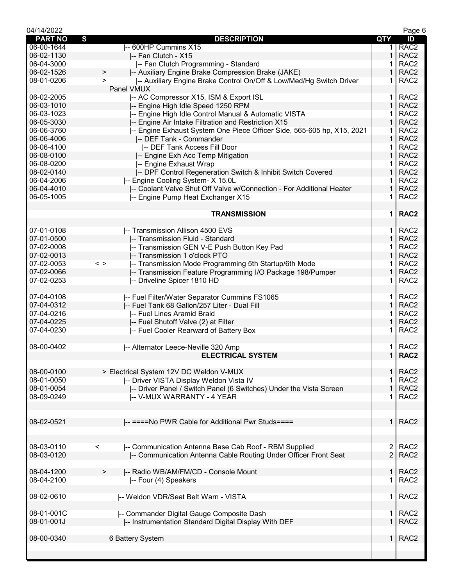| 04/14/2022     |                                                                                  |                | Page 6           |
|----------------|----------------------------------------------------------------------------------|----------------|------------------|
| <b>PART NO</b> | S<br><b>DESCRIPTION</b>                                                          | QTY            | ID               |
| 06-00-1644     | -- 600HP Cummins X15                                                             | 1.             | RAC <sub>2</sub> |
| 06-02-1130     | -- Fan Clutch - X15                                                              | 1              | RAC <sub>2</sub> |
| 06-04-3000     | -- Fan Clutch Programming - Standard                                             |                | RAC <sub>2</sub> |
| 06-02-1526     | -- Auxiliary Engine Brake Compression Brake (JAKE)<br>>                          | 1              | RAC <sub>2</sub> |
| 08-01-0206     | -- Auxiliary Engine Brake Control On/Off & Low/Med/Hg Switch Driver<br>$\, > \,$ | 1              | RAC <sub>2</sub> |
|                | Panel VMUX                                                                       |                |                  |
| 06-02-2005     | I-- AC Compressor X15, ISM & Export ISL                                          | 1.             | RAC <sub>2</sub> |
| 06-03-1010     | -- Engine High Idle Speed 1250 RPM                                               | $\mathbf{1}$   | RAC <sub>2</sub> |
| 06-03-1023     | -- Engine High Idle Control Manual & Automatic VISTA                             | 1              | RAC <sub>2</sub> |
| 06-05-3030     |                                                                                  | 1              | RAC <sub>2</sub> |
|                | -- Engine Air Intake Filtration and Restriction X15                              | 1              | RAC <sub>2</sub> |
| 06-06-3760     | I-- Engine Exhaust System One Piece Officer Side, 565-605 hp, X15, 2021          |                |                  |
| 06-06-4006     | -- DEF Tank - Commander                                                          | 1              | RAC <sub>2</sub> |
| 06-06-4100     | -- DEF Tank Access Fill Door                                                     | 1              | RAC <sub>2</sub> |
| 06-08-0100     | -- Engine Exh Acc Temp Mitigation                                                | 1              | RAC <sub>2</sub> |
| 06-08-0200     | -- Engine Exhaust Wrap                                                           | 1              | RAC <sub>2</sub> |
| 08-02-0140     | -- DPF Control Regeneration Switch & Inhibit Switch Covered                      | $\mathbf{1}$   | RAC <sub>2</sub> |
| 06-04-2006     | -- Engine Cooling System- X 15.0L                                                | 1              | RAC <sub>2</sub> |
| 06-04-4010     | -- Coolant Valve Shut Off Valve w/Connection - For Additional Heater             | 1              | RAC <sub>2</sub> |
| 06-05-1005     | -- Engine Pump Heat Exchanger X15                                                |                | RAC <sub>2</sub> |
|                |                                                                                  |                |                  |
|                | <b>TRANSMISSION</b>                                                              | $\mathbf 1$    | RAC <sub>2</sub> |
|                |                                                                                  |                |                  |
| 07-01-0108     | -- Transmission Allison 4500 EVS                                                 | 1.             | RAC <sub>2</sub> |
| 07-01-0500     | -- Transmission Fluid - Standard                                                 | $\mathbf{1}$   | RAC <sub>2</sub> |
| 07-02-0008     | -- Transmission GEN V-E Push Button Key Pad                                      | 1.             | RAC <sub>2</sub> |
| 07-02-0013     | -- Transmission 1 o'clock PTO                                                    | 1              | RAC <sub>2</sub> |
| 07-02-0053     | -- Transmission Mode Programming 5th Startup/6th Mode<br>$\langle$ $>$           |                | RAC <sub>2</sub> |
| 07-02-0066     | -- Transmission Feature Programming I/O Package 198/Pumper                       | 1              | RAC <sub>2</sub> |
| 07-02-0253     | -- Driveline Spicer 1810 HD                                                      | 1              | RAC <sub>2</sub> |
|                |                                                                                  |                |                  |
| 07-04-0108     |                                                                                  |                | RAC <sub>2</sub> |
|                | -- Fuel Filter/Water Separator Cummins FS1065                                    | 1.             |                  |
| 07-04-0312     | -- Fuel Tank 68 Gallon/257 Liter - Dual Fill                                     | $\mathbf{1}$   | RAC <sub>2</sub> |
| 07-04-0216     | -- Fuel Lines Aramid Braid                                                       | 1              | RAC <sub>2</sub> |
| 07-04-0225     | -- Fuel Shutoff Valve (2) at Filter                                              | 1              | RAC <sub>2</sub> |
| 07-04-0230     | -- Fuel Cooler Rearward of Battery Box                                           |                | RAC <sub>2</sub> |
|                |                                                                                  |                |                  |
| 08-00-0402     | -- Alternator Leece-Neville 320 Amp                                              | 1.             | RAC <sub>2</sub> |
|                | <b>ELECTRICAL SYSTEM</b>                                                         | $\mathbf 1$    | RAC <sub>2</sub> |
|                |                                                                                  |                |                  |
| 08-00-0100     | > Electrical System 12V DC Weldon V-MUX                                          | $\mathbf 1$    | RAC <sub>2</sub> |
| 08-01-0050     | -- Driver VISTA Display Weldon Vista IV                                          | 1              | RAC <sub>2</sub> |
| 08-01-0054     | -- Driver Panel / Switch Panel (6 Switches) Under the Vista Screen               | 1              | RAC <sub>2</sub> |
| 08-09-0249     | I-- V-MUX WARRANTY - 4 YEAR                                                      |                | RAC <sub>2</sub> |
|                |                                                                                  |                |                  |
|                |                                                                                  |                |                  |
| 08-02-0521     | -- ====No PWR Cable for Additional Pwr Studs====                                 | 1 <sup>1</sup> | RAC <sub>2</sub> |
|                |                                                                                  |                |                  |
|                |                                                                                  |                |                  |
| 08-03-0110     | -- Communication Antenna Base Cab Roof - RBM Supplied<br>$\,<\,$                 | $\overline{2}$ | RAC <sub>2</sub> |
| 08-03-0120     | -- Communication Antenna Cable Routing Under Officer Front Seat                  | $\overline{2}$ | RAC <sub>2</sub> |
|                |                                                                                  |                |                  |
| 08-04-1200     |                                                                                  |                | RAC <sub>2</sub> |
|                | -- Radio WB/AM/FM/CD - Console Mount<br>>                                        | 1              |                  |
| 08-04-2100     | -- Four (4) Speakers                                                             | 1              | RAC <sub>2</sub> |
|                |                                                                                  |                |                  |
| 08-02-0610     | -- Weldon VDR/Seat Belt Warn - VISTA                                             | $\mathbf 1$    | RAC <sub>2</sub> |
|                |                                                                                  |                |                  |
| 08-01-001C     | -- Commander Digital Gauge Composite Dash                                        | 1.             | RAC <sub>2</sub> |
| 08-01-001J     | -- Instrumentation Standard Digital Display With DEF                             | $\mathbf 1$    | RAC <sub>2</sub> |
|                |                                                                                  |                |                  |
| 08-00-0340     | 6 Battery System                                                                 | 1.             | RAC <sub>2</sub> |
|                |                                                                                  |                |                  |
|                |                                                                                  |                |                  |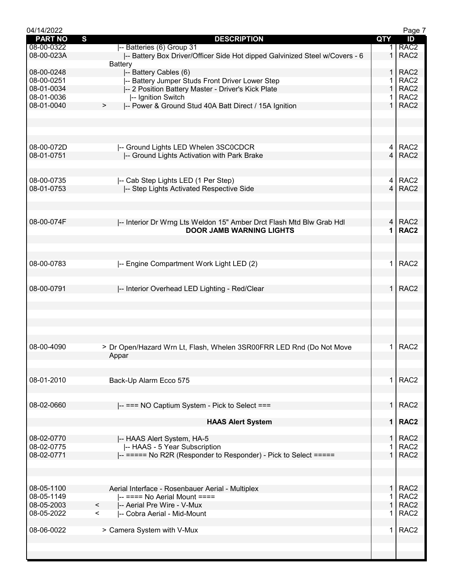| 04/14/2022     |                                                                             |                | Page 7           |
|----------------|-----------------------------------------------------------------------------|----------------|------------------|
| <b>PART NO</b> | S<br><b>DESCRIPTION</b>                                                     | QTY            | ID               |
| 08-00-0322     | -- Batteries (6) Group 31                                                   | 1.             | RAC <sub>2</sub> |
| 08-00-023A     | -- Battery Box Driver/Officer Side Hot dipped Galvinized Steel w/Covers - 6 | $\mathbf 1$    | RAC <sub>2</sub> |
|                | <b>Battery</b>                                                              |                |                  |
|                |                                                                             |                |                  |
| 08-00-0248     | -- Battery Cables (6)                                                       | 1              | RAC <sub>2</sub> |
| 08-00-0251     | -- Battery Jumper Studs Front Driver Lower Step                             | 1              | RAC <sub>2</sub> |
| 08-01-0034     | -- 2 Position Battery Master - Driver's Kick Plate                          | $\mathbf{1}$   | RAC <sub>2</sub> |
| 08-01-0036     | -- Ignition Switch                                                          | 1.             | RAC <sub>2</sub> |
| 08-01-0040     | -- Power & Ground Stud 40A Batt Direct / 15A Ignition<br>>                  | $\mathbf{1}$   | RAC <sub>2</sub> |
|                |                                                                             |                |                  |
|                |                                                                             |                |                  |
|                |                                                                             |                |                  |
|                |                                                                             |                |                  |
|                |                                                                             |                |                  |
| 08-00-072D     | -- Ground Lights LED Whelen 3SC0CDCR                                        |                | 4 RAC2           |
|                |                                                                             | $\overline{4}$ | RAC <sub>2</sub> |
| 08-01-0751     | -- Ground Lights Activation with Park Brake                                 |                |                  |
|                |                                                                             |                |                  |
|                |                                                                             |                |                  |
| 08-00-0735     | -- Cab Step Lights LED (1 Per Step)                                         | 4              | RAC <sub>2</sub> |
| 08-01-0753     | -- Step Lights Activated Respective Side                                    | $\overline{4}$ | RAC <sub>2</sub> |
|                |                                                                             |                |                  |
|                |                                                                             |                |                  |
|                |                                                                             |                |                  |
|                |                                                                             |                |                  |
| 08-00-074F     | I-- Interior Dr Wrng Lts Weldon 15" Amber Drct Flash Mtd Blw Grab Hdl       | $\overline{4}$ | RAC <sub>2</sub> |
|                | <b>DOOR JAMB WARNING LIGHTS</b>                                             | 1              | RAC <sub>2</sub> |
|                |                                                                             |                |                  |
|                |                                                                             |                |                  |
|                |                                                                             |                |                  |
|                |                                                                             |                |                  |
| 08-00-0783     | -- Engine Compartment Work Light LED (2)                                    | 1.             | RAC <sub>2</sub> |
|                |                                                                             |                |                  |
|                |                                                                             |                |                  |
|                |                                                                             |                |                  |
| 08-00-0791     | -- Interior Overhead LED Lighting - Red/Clear                               | $\mathbf{1}$   | RAC <sub>2</sub> |
|                |                                                                             |                |                  |
|                |                                                                             |                |                  |
|                |                                                                             |                |                  |
|                |                                                                             |                |                  |
|                |                                                                             |                |                  |
|                |                                                                             |                |                  |
|                |                                                                             |                |                  |
| 08-00-4090     | > Dr Open/Hazard Wrn Lt, Flash, Whelen 3SR00FRR LED Rnd (Do Not Move        | 1.             | RAC <sub>2</sub> |
|                | Appar                                                                       |                |                  |
|                |                                                                             |                |                  |
|                |                                                                             |                |                  |
|                |                                                                             |                |                  |
| 08-01-2010     | Back-Up Alarm Ecco 575                                                      | 1              | RAC <sub>2</sub> |
|                |                                                                             |                |                  |
|                |                                                                             |                |                  |
| 08-02-0660     |                                                                             | 1.             | RAC <sub>2</sub> |
|                | -- === NO Captium System - Pick to Select ===                               |                |                  |
|                |                                                                             |                |                  |
|                | <b>HAAS Alert System</b>                                                    | $\mathbf 1$    | RAC <sub>2</sub> |
|                |                                                                             |                |                  |
| 08-02-0770     | -- HAAS Alert System, HA-5                                                  | 1              | RAC <sub>2</sub> |
| 08-02-0775     | I-- HAAS - 5 Year Subscription                                              | 1              | RAC <sub>2</sub> |
|                |                                                                             |                |                  |
| 08-02-0771     | -- ===== No R2R (Responder to Responder) - Pick to Select =====             | 1              | RAC <sub>2</sub> |
|                |                                                                             |                |                  |
|                |                                                                             |                |                  |
|                |                                                                             |                |                  |
| 08-05-1100     | Aerial Interface - Rosenbauer Aerial - Multiplex                            | $\mathbf{1}$   | RAC <sub>2</sub> |
|                |                                                                             |                |                  |
| 08-05-1149     | $\left  \text{---} \right $ ==== No Aerial Mount ====                       | 1              | RAC <sub>2</sub> |
| 08-05-2003     | $\,<\,$<br>-- Aerial Pre Wire - V-Mux                                       | $\mathbf{1}$   | RAC <sub>2</sub> |
| 08-05-2022     | $\prec$<br>-- Cobra Aerial - Mid-Mount                                      |                | RAC <sub>2</sub> |
|                |                                                                             |                |                  |
| 08-06-0022     |                                                                             | 1.             | RAC <sub>2</sub> |
|                | > Camera System with V-Mux                                                  |                |                  |
|                |                                                                             |                |                  |
|                |                                                                             |                |                  |
|                |                                                                             |                |                  |
|                |                                                                             |                |                  |